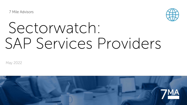7 Mile Advisors



# Sectorwatch: SAP Services Providers

May 2022

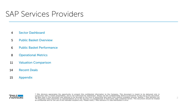### SAP Services Providers

- 4 Sector Dashboard
- 5 Public Basket Overview
- 6 Public Basket Performance
- 8 Operational Metrics
- 11 Valuation Comparison
- 14 Recent Deals
- 15 Appendix



7 Mile Advisors appreciates the opportunity to present this confidential information to the Company. This document is meant to be delivered only in<br>conjunction with a verbal presentation, and is not authorized for distribu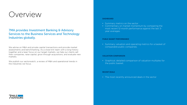### Overview

#### 7MA provides Investment Banking & Advisory Services to the Business Services and Technology Industries globally.

We advise on M&A and private capital transactions and provide market assessments and benchmarking. As a close-knit team with a long history together and a laser focus on our target markets, we help our clients sell their companies, raise capital, grow through acquisitions, and evaluate new markets.

We publish our sectorwatch, a review of M&A and operational trends in the industries we focus.

#### **DASHBOARD**

- Summary metrics on the sector
- Commentary on market momentum by comparing the most recent 12-month performance against the last 3 year averages.

#### **PUBLIC BASKET PERFORMANCE**

• Summary valuation and operating metrics for a basket of comparable public companies.

#### **VALUATION COMPARISON**

• Graphical, detailed comparison of valuation multiples for the public basket.

#### **RECENT DEALS**

• The most recently announced deals in the sector

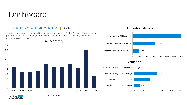

#### REVENUE GROWTH MOMENTUM 1 3.9%

1 - year revenue growth compared to revenue growth average for last 3 years - Current revenue growth rate exceeds the average of the last 3 years by this amount, indicating that market momentum is increasing



#### Operating Metrics

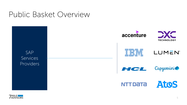### Public Basket Overview

SAP **Services** Providers



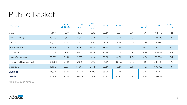| Company                         | TEV \$m | <b>LTM</b><br><b>EBITDA</b> \$m | <b>LTM Rev</b><br>$\mathsf{S}$ m | Rev<br>Growth<br>YoY | GP <sub>%</sub> | <b>EBITDA %</b> | TEV / Rev X | TEV /<br><b>EBITDAX</b> | # FTEs  | Rev / FTE<br>\$k |
|---------------------------------|---------|---------------------------------|----------------------------------|----------------------|-----------------|-----------------|-------------|-------------------------|---------|------------------|
| Atos                            | 5,597   | 1,280                           | 12,815                           | $-3.1%$              | 32.3%           | 10.0%           | 0.4x        | 4.4x                    | 104,430 | 123              |
| DXC Technology                  | 10,709  | 2,712                           | 16,642                           | $-8.4%$              | 21.4%           | 16.3%           | 0.6x        | 3.9x                    | 130,000 | 128              |
| NTT Data                        | 30,407  | 3,743                           | 22,843                           | 9.9%                 | 26.1%           | 16.4%           | 1.3x        | 8.1x                    | 143,081 | 160              |
| <b>HCL Technologies</b>         | 35,904  | $\#N/A$                         | 11,481                           | 12.8%                | 38.4%           | #N/A            | 3.1x        | $\#N/A$                 | 197,777 | 58               |
| Capgemini                       | 38,804  | 3,468                           | 21,471                           | 14.6%                | 26.4%           | 16.2%           | 1.8x        | 11.2x                   | 324,684 | 66               |
| Lumen Technologies              | 39,609  | 8,239                           | 19,687                           | $-4.9%$              | 56.9%           | 41.8%           | 2.0x        | 4.8x                    | 36,000  | 547              |
| International Business Machines | 166,786 | 15,313                          | 53,819                           | 5.9%                 | 56.9%           | 28.5%           | 3.1x        | 10.9x                   | 307,600 | 175              |
| Accenture                       | 191,612 | 10,934                          | 56,695                           | 24.1%                | 32.3%           | 19.3%           | 3.4x        | 17.5x                   | 699,000 | 81               |
| Average                         | 64,928  | 6,527                           | 26,932                           | 6.4%                 | 36.3%           | 21.2%           | 2.0x        | 8.7x                    | 242,822 | 167              |
| <b>Median</b>                   | 37,354  | 3,743                           | 20,579                           | 7.9%                 | 32.3%           | 16.4%           | 1.9x        | 8.1x                    | 170,429 | 125              |

*share price as of 04May22*

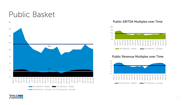

Public EBITDA Multiples over Time



#### Public Revenue Multiples over Time



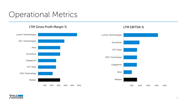## Operational Metrics



#### LTM Gross Profit Margin % LTM EBITDA %



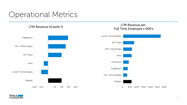## Operational Metrics



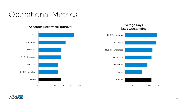## Operational Metrics

#### Accounts Receivable Turnover Average Days



### Sales Outstanding Median Atos Capgemini Accenture HCL Technologies NTT Data DXC Technology

0 20 40 60 80 100

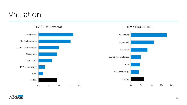### Valuation





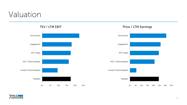### Valuation





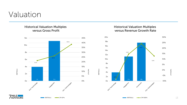### Valuation

#### Historical Valuation Multiples versus Gross Profit

#### Historical Valuation Multiples versus Revenue Growth Rate

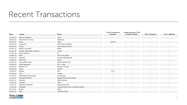### Recent Transactions

| Date         | <b>Target</b>                | <b>Buyer</b>                         | <b>Total Transaction</b><br><b>Amount</b> | <b>Target Revenue (TTM</b><br>at time of deal) | <b>TEV / Revenue</b>     | <b>TEV / EBITDA</b>      |
|--------------|------------------------------|--------------------------------------|-------------------------------------------|------------------------------------------------|--------------------------|--------------------------|
| 27-Apr-22    | Neptune Software             | Triton                               | $\sim$                                    | $\sim$                                         | $\sim$                   | $\sim$                   |
| 26-Apr-22    | Hövermann IT Group           |                                      |                                           |                                                |                          |                          |
|              |                              | Datagroup                            |                                           |                                                |                          |                          |
| 26-Apr-22    | Rizing                       | Wipro                                | 540.00                                    |                                                | $\sim$                   |                          |
| 22-Apr-22    | Inhouse BI                   | Theta (New Zealand)                  |                                           |                                                |                          |                          |
| 05-Apr-22    | Litreca                      | Main Capital Partners                | $\overline{\phantom{a}}$                  |                                                | $\sim$                   | $\overline{\phantom{a}}$ |
| 04-Apr-22    | <b>Okadis Consulting</b>     | Dedig                                |                                           |                                                |                          |                          |
| 01-Apr-22    | Activate Information Systems | Accely                               | $\sim$                                    |                                                | $\overline{\phantom{a}}$ | $\overline{\phantom{a}}$ |
| 31-Mar-22    | <b>Client Solutions</b>      | EY                                   | $\sim$                                    |                                                | <u>. на п</u>            |                          |
| 24-Mar-22    | <b>POET</b>                  | All for One Steeb                    |                                           |                                                |                          |                          |
| 21-Mar-22    | Akquinet                     | Deutsche Beteiligungs                |                                           |                                                |                          |                          |
| 10-Mar-22    | Work Well                    | Seidor                               |                                           |                                                |                          |                          |
| $01-Mar-22$  | Verso Altima India           | Adroit Infotech Ltd                  |                                           |                                                |                          |                          |
| 22-Feb-22    | Loop Integration             | Kin + Carta                          | $\sim$                                    | $\overline{\phantom{a}}$                       | $\sim$                   | $\sim$                   |
| 22-Feb-22    | ResolvIT SC                  | VistaVu Solutions                    |                                           |                                                |                          |                          |
| 18-Feb-22    | Sothis                       | Nunsys                               |                                           |                                                |                          |                          |
| 14-Feb-22    | Erptech                      | Wiit                                 | 4.53                                      |                                                |                          |                          |
| 01-Feb-22    | Iovio                        | Copado                               | $\sim$                                    |                                                |                          | $\overline{\phantom{a}}$ |
| 01-Feb-22    | Wharfedale Technologies      | Lemongrass                           | $\sim$                                    |                                                |                          |                          |
| 31-Jan-22    | <b>Theobald Software</b>     | Bregal Unternehmerkapital            |                                           |                                                |                          |                          |
| 28-Jan-22    | Enginiety                    | <b>EPAM Systems</b>                  |                                           |                                                |                          |                          |
| 13-Jan-22    | Createch                     | Talan                                |                                           |                                                | $\sim$                   | $\overline{\phantom{a}}$ |
| $11$ -Jan-22 | Movilitas Consulting         | Engineering USA                      |                                           |                                                |                          |                          |
| $11$ -Jan-22 | MySupply                     | Canada Pension Plan Investment Board | $\sim$                                    | $\sim$                                         | $\sim$                   | $\sim$                   |
| $10$ -Jan-22 | Enowa                        | Reply                                |                                           |                                                |                          |                          |
| 04-Jan-22    | <b>UMB</b>                   | The BKW Group                        |                                           |                                                |                          |                          |

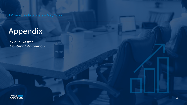SAP Services Providers - May 2022

## Appendix

*Public Basket Contact Information* 

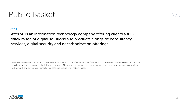#### Atos

Atos SE is an information technology company offering clients a fullstack range of digital solutions and products alongside consultancy services, digital security and decarbonization offerings.

Its operating segments include North America, Northern Europe, Central Europe, Southern Europe and Growing Markets. Its purpose is to help design the future of the information space. The company enables its customers and employees, and members of society to live, work and develop sustainably, in a safe and secure information space.



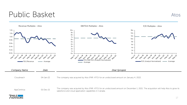



Atos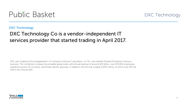

DXC Technology

#### DXC Technology Co is a vendor-independent IT services provider that started trading in April 2017.

DXC was created via the amalgamation of Computer Sciences Corporation, or CSC, and Hewlett Packard Enterprise's Services business. The combined company has enviable global scale, with annual revenue of around \$20 billion, over 130,000 employees, operations across 70 countries, and broad industry exposure. In addition, the firm has roughly 6,000 clients, of which over 200 are within the Fortune 500.

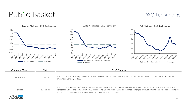#### DXC Technology

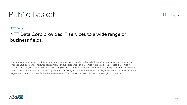

#### NTT Data

#### NTT Data Corp provides IT services to a wide range of business fields.

The company's operations are divided into three segments: global, public and social infrastructure; enterprise and solutions; and financial. Each segment contributes approximately an even proportion of the company's revenue. The services the company provides include system integration by constructing systems tailored to individual customer needs, multiple Internet and computer network-based information and processing services, consulting that evaluates customers' management issues, system support for large-scale systems, and new IT-based business models. The company is based in Japan but has a global presence.

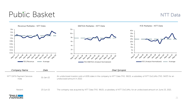NTT Data



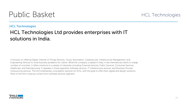#### HCL Technologies

#### HCL Technologies Ltd provides enterprises with IT solutions in India.

It focuses on offering Digital, Internet of Things Services, Cloud, Automation, Cybersecurity, Infrastructure Management, and Engineering Services to solve business problems for clients. While the company is based in India, it has international clients in a large number of countries. It offers solutions to a variety of industries including Financial Services, Public Services, Consumer Services, Healthcare, and Manufacturing. It operates in three segments Software services, IT Infrastructure services, and Business Process Outsourcing services. The firm emphasizes consultation services for firms, with the goal to offer them digital and design solutions. Most of the firm's revenue comes from Software services segment.

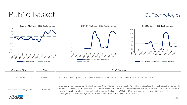#### HCL Technologies

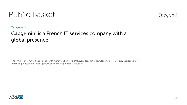

#### Capgemini

#### Capgemini is a French IT services company with a global presence.

The firm has over 450 offices globally, with more than half of its employees based in India. Capgemini provides services related to IT consulting, infrastructure management, and business process outsourcing.

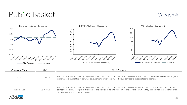#### Capgemini

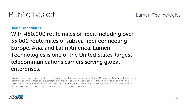#### Lumen Technologies

With 450,000 route miles of fiber, including over 35,000 route miles of subsea fiber connecting Europe, Asia, and Latin America, Lumen Technologies is one of the United States' largest telecommunications carriers serving global enterprises.

Its merger with Level 3 further shifted the company's operations toward businesses (over 70% of revenue) and away from its legacy consumer business. Lumen offers businesses a full menu of communications services, providing colocation and data center services, data transportation, and end-user phone and Internet service. On the consumer side, Lumen provides broadband and phone service across 37 states, where it has 4.5 million broadband customers.

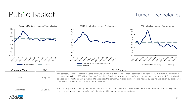#### Lumen Technologies



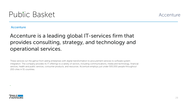

#### Accenture

#### Accenture is a leading global IT-services firm that provides consulting, strategy, and technology and operational services.

These services run the gamut from aiding enterprises with digital transformation to procurement services to software system integration. The company provides its IT offerings to a variety of sectors, including communications, media and technology, financial services, health and public services, consumer products, and resources. Accenture employs just under 500,000 people throughout 200 cities in 51 countries.

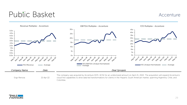#### Accenture



Ergo Renova 21-Apr-22

The company was acquired by Accenture (NYS: ACN) for an undisclosed amount on April 21, 2022. The acquisition will expand Accenture's cloud first capabilities to drive data-led transformations for clients in the Hispanic South American market, spanning Argentina, Chile, and Colombia.